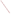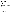# **Technical Factsheet on: DINOSEB**

# [List of Contaminants](http://www.epa.gov/safewater/hfacts.html)

 As part of the Drinking Water and Health pages, this fact sheet is part of a larger publication: **National Primary Drinking Water Regulations** 

Drinking Water Standards MCLG: 0.007 mg/L MCL: 0.007 mg/L HAL(child): 1 to 10 day: 0.3 mg/L; Longer-term: 0.01 mg/L

## **Health Effects Summary**

 levels above the MCL: sweating, headache, mood changes. Acute: EPA has found dinoseb to potentially cause the following health effects from acute exposures at

 consuming 1 liter of water per day, a one- to ten- day exposure to 0.3 mg/L or up to a 7-year exposure to Drinking water levels which are considered "safe" for short-term exposures: For a 10-kg (22 lb.) child 0.01 mg/L.

 levels above the MCL: decreased body and thyroid weight, degeneration of testes; thickening of intestinal Chronic: Dinoseb has the potential to cause the following health effects from long-term exposures at lining.

 from lifetime exposure in drinking water. Cancer: There is inadequate evidence to state whether or not dinoseb has the potential to cause cancer

## **Usage Patterns**

Dinoseb is a contact herbicide used as the ammonium or amine salt for post-emergence weed control in cereals, undersown cereals, seedling lucerne and peas.

 insecticide and miticide. Oil solutions of dinoseb are used for pre-emergence control of annual weeds in beans, peas and potatoes, for pre-harvest dessication of hops, leguminous seed crops, potatoes and for control of runners and suckers in strawberries and raspberries. Dinoseb is also used as a corn yield enhancer and an

1982 production of dinoseb was reported as 6.2 million lbs., with consumption estimates as follows: as an herbicide for soybeans, 32%; vegetable, 23%; deciduous fruits and nuts, 11%; peanuts, 8%; citrus, 3%; grain crops, 2%; other field crops, 6%; industrial/commercial uses, 15%.

## **Release Patterns**

Release of dinoseb has resulted primarily from its use as an herbicide on a variety of weeds.

 Since dinoseb is not a listed chemical in the Toxics Release Inventory, data on releases during its manufacture and handling are not available.

## **Environmental Fate**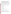Dinoseb is expected to biodegrade in slowly and bind weakly to soil. Therefore, leaching in soil is possible from a soil surface was 26 days. In the absence of volatilization, the half-life of dinoseb in the vadose zone sandy loam soil was estimated to be about 100 days. and dinoseb has been detected in groundwater. However, it may bind more strongly to clay soils, especially at acidic pH. Photolytic degrdration of dinoseb from soil surface may be important. Volatilization is not expected to be significant. The laboratory-measured evaporation half-life for dinoseb

 constant of 5.04X10-4 atm cu m/mol suggests that volatilization of dinoseb from water will be slow. It is to be slow. Dinoseb may photodegrade in surface water with a half-life of 14-18 days. The estimated Henry's Law unlikely to undergo significant biodegradation in most natural waters. Volatilization from water is expected

The half-life for the reaction of vapor phase dinoseb with photochemically generated hydroxyl radicals in the atmosphere was estimated to be 14.1 days. Wet deposition may remove some of the compound from air.

Bioconcentration is expected to be insignificant. A bioconcentration factor (BCF) of 68 for dinoseb was estimated from its water solubility (50 mg/L).

Exposure to dinoseb in humans is expected to occur primarily in workers using the herbicide.

#### **Chemical/ Physical Properties**

CAS Number: 88-85-7

Color/ Form/Odor: Yellow/orange crystals; pungent odor

M.P.: 38-42 C B.P.: N/A

M.P.: 38-42 C B.P.: N/A<br>Vapor Pressure: 1 mm Hg at 151.1 C

Octanol/Water Partition (Kow): N/A

Density/Spec. Grav.: 1.26 at 45 C

Solubility: 0.052 g/L of water at 25 C; tends to form salts which are highly soluble in water

Soil sorption coefficient: Koc =124 (measured); high mobility in soil

Odor/Taste Thresholds: N/A

Bioconcentration Factor:  $BCF = 68$  (est.); not expected to bioconcentrate in aquatic organisms.

Henry's Law Coefficient: 5.04x10-4 atm-cu m/mole (est.)

Trade Names/Synonyms: 2,4-dinitro-6-(1-methyl-propyl) phenol; Dinitrobutylphenol; Aatox; Chemox; Gebutox; Knox-weed; Basanite; BNP 20; Butaphene; Dibutox; Dinitrall; Dinitro; Desicoil; Dow Selective Weed Killer; Hivertox; Ladob; Laseb; Nitropone C; Dytop; Premerge; Hel-fire; Caldon; Kiloseb; Sinox General; Subitex.